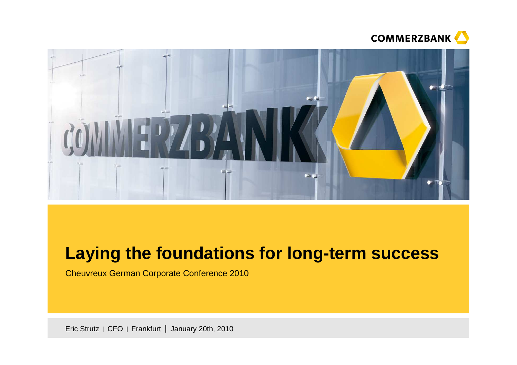



# **Laying the foundations for long-term success**

Cheuvreux German Corporate Conference 2010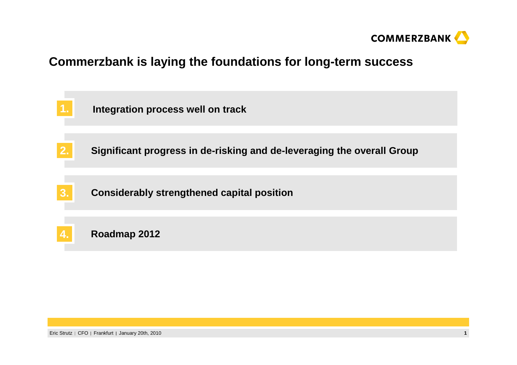

### **Commerzbank is laying the foundations for long-term success**

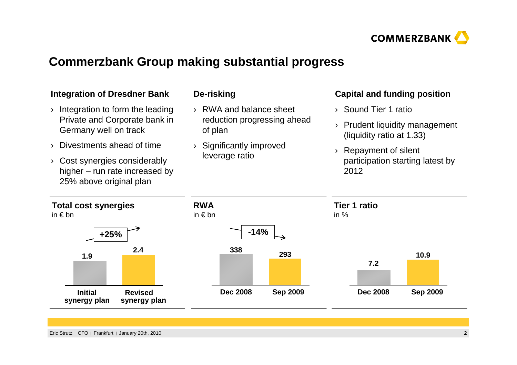

# **Commerzbank Group making substantial progress**

| <b>Integration of Dresdner Bank</b>                                                        | De-risking                             | <b>Capital and funding position</b>                       |  |
|--------------------------------------------------------------------------------------------|----------------------------------------|-----------------------------------------------------------|--|
| Integration to form the leading                                                            | RWA and balance sheet<br>$\rightarrow$ | Sound Tier 1 ratio<br>$\lambda$                           |  |
| Private and Corporate bank in<br>Germany well on track                                     | reduction progressing ahead<br>of plan | Prudent liquidity management<br>(liquidity ratio at 1.33) |  |
| Divestments ahead of time                                                                  | Significantly improved                 | Repayment of silent                                       |  |
| Cost synergies considerably<br>higher $-$ run rate increased by<br>25% above original plan | leverage ratio                         | participation starting latest by<br>2012                  |  |
|                                                                                            |                                        |                                                           |  |
| <b>Total cost synergies</b><br>in $\epsilon$ bn                                            | <b>RWA</b><br>in $\epsilon$ bn         | <b>Tier 1 ratio</b><br>in $%$                             |  |
| $+25%$                                                                                     | $-14%$                                 |                                                           |  |
| 2.4                                                                                        | 338<br>293                             | 10.9                                                      |  |
| 1.9                                                                                        |                                        | 7.2                                                       |  |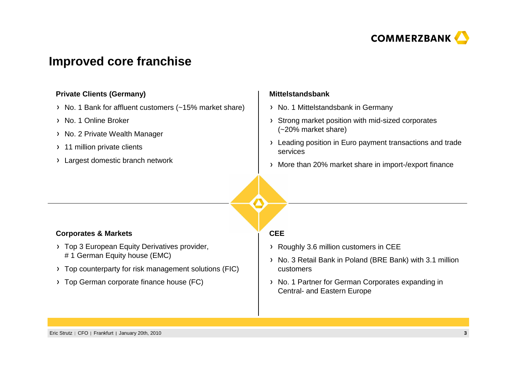

### **Improved core franchise**

#### **Private Clients (Germany)**

- > No. 1 Bank for affluent customers (~15% market share)
- > No. 1 Online Broker
- > No. 2 Private Wealth Manager
- > 11 million private clients
- Largest domestic branch network

#### **Mittelstandsbank**

- > No. 1 Mittelstandsbank in Germany
- Strong market position with mid-sized corporates (~20% market share)
- > Leading position in Euro payment transactions and trade services
- More than 20% market share in import-/export finance

#### **Corporates & Markets**

- > Top 3 European Equity Derivatives provider, # 1 German Equity house (EMC)
- Top counterparty for risk management solutions (FIC)
- > Top German corporate finance house (FC)

#### **CEE**

- Roughly 3.6 million customers in CEE
- No. 3 Retail Bank in Poland (BRE Bank) with 3.1 million customers
- > No. 1 Partner for German Corporates expanding in Central- and Eastern Europe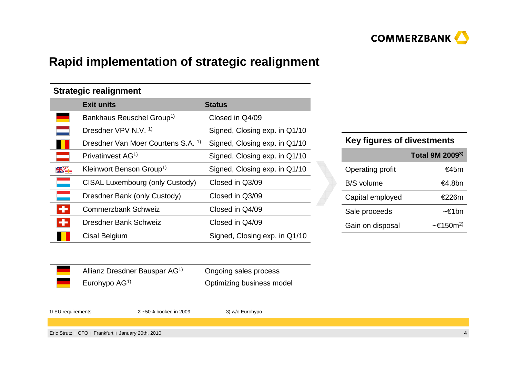

# **Rapid implementation of strategic realignment**

#### **Strategic realignment**

|   | <b>Exit units</b>                             | <b>Status</b>                 |
|---|-----------------------------------------------|-------------------------------|
|   | Bankhaus Reuschel Group <sup>1)</sup>         | Closed in Q4/09               |
|   | Dresdner VPV N.V. <sup>1)</sup>               | Signed, Closing exp. in Q1/10 |
|   | Dresdner Van Moer Courtens S.A. <sup>1)</sup> | Signed, Closing exp. in Q1/10 |
|   | Privatinvest AG <sup>1)</sup>                 | Signed, Closing exp. in Q1/10 |
|   | Kleinwort Benson Group <sup>1)</sup>          | Signed, Closing exp. in Q1/10 |
|   | CISAL Luxembourg (only Custody)               | Closed in Q3/09               |
|   | Dresdner Bank (only Custody)                  | Closed in Q3/09               |
| ÷ | <b>Commerzbank Schweiz</b>                    | Closed in Q4/09               |
| ÷ | Dresdner Bank Schweiz                         | Closed in Q4/09               |
|   | Cisal Belgium                                 | Signed, Closing exp. in Q1/10 |

#### **Key figures of divestments**

|                  | Total 9M 2009 <sup>3)</sup>        |
|------------------|------------------------------------|
| Operating profit | €45m                               |
| B/S volume       | €4.8bn                             |
| Capital employed | €226m                              |
| Sale proceeds    | ~€1bn                              |
| Gain on disposal | $\sim \epsilon$ 150m <sup>2)</sup> |

| Allianz Dresdner Bauspar AG <sup>1)</sup> | Ongoing sales process     |
|-------------------------------------------|---------------------------|
| Eurohypo $AG1$                            | Optimizing business model |

<sup>1</sup>) EU requirements <sup>2</sup>) ~50% booked in 2009 3) w/o Eurohypo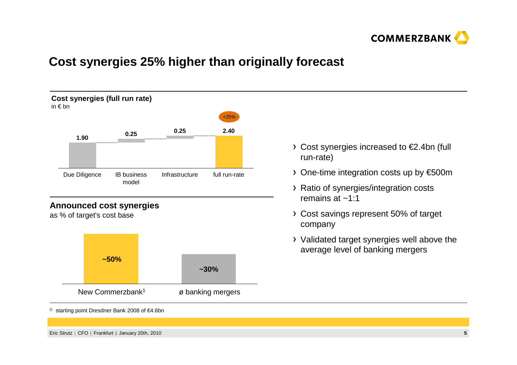

# **Cost synergies 25% higher than originally forecast**



as % of target's cost base



- Cost synergies increased to €2.4bn (full run-rate)
- One-time integration costs up by €500m
- Ratio of synergies/integration costs remains at ~1:1
- Cost savings represent 50% of target company
- Validated target synergies well above the average level of banking mergers

1) starting point Dresdner Bank 2008 of €4.6bn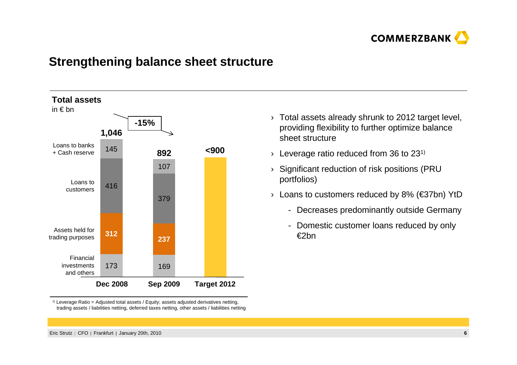

#### **Strengthening balance sheet structure**



 $^{\text{\tiny{(1)}}}$  Leverage Ratio = Adjusted total assets / Equity; assets adjusted derivatives netting, trading assets / liabilities netting, deferred taxes netting, other assets / liabilities netting

- $\rightarrow$  Total assets already shrunk to 2012 target level, providing flexibility to further optimize balance sheet structure
- $\rightarrow$  Leverage ratio reduced from 36 to 231)
- › Significant reduction of risk positions (PRU portfolios)
- › Loans to customers reduced by 8% (€37bn) YtD
	- Decreases predominantly outside Germany
	- Domestic customer loans reduced by only €2bn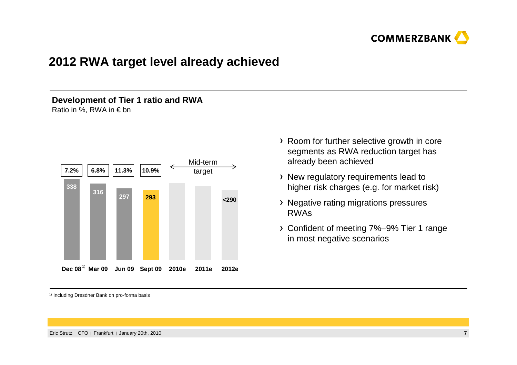

### **2012 RWA target level already achieved**

#### **Development of Tier 1 ratio and RWA**Ratio in %, RWA in  $\epsilon$  bn



- Room for further selective growth in core segments as RWA reduction target has already been achieved
- New regulatory requirements lead to higher risk charges (e.g. for market risk)
- Negative rating migrations pressures RWAs
- Confident of meeting 7%–9% Tier 1 range in most negative scenarios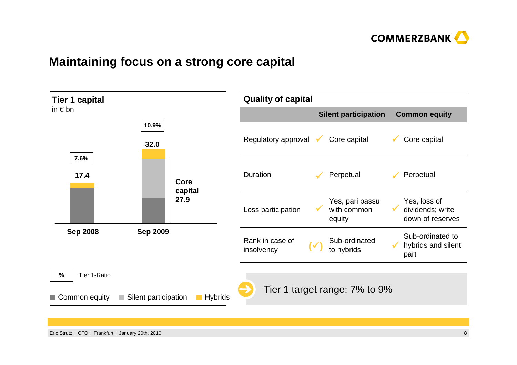

### **Maintaining focus on a strong core capital**

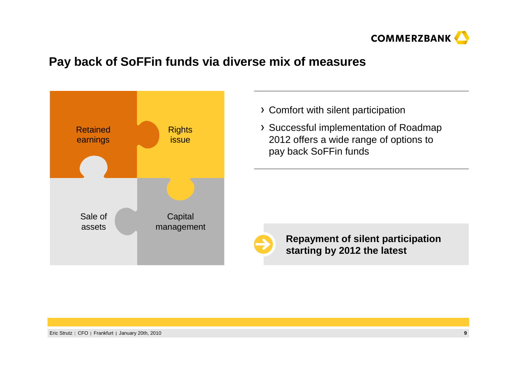

### **Pay back of SoFFin funds via diverse mix of measures**



- Comfort with silent participation
- Successful implementation of Roadmap 2012 offers a wide range of options to pay back SoFFin funds



**Repayment of silent participation starting by 2012 the latest**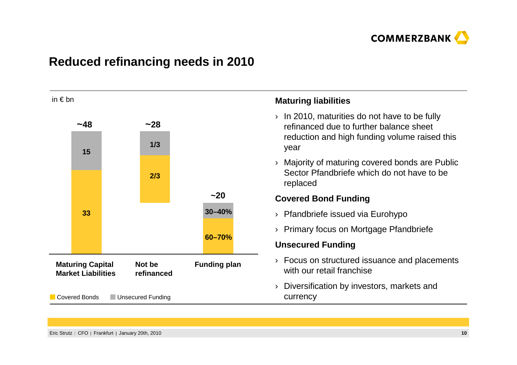

# **Reduced refinancing needs in 2010**

| in $\epsilon$ bn                                                             |               |                     |                                                                                              |                                       | <b>Maturing liabilities</b>                                                                             |  |
|------------------------------------------------------------------------------|---------------|---------------------|----------------------------------------------------------------------------------------------|---------------------------------------|---------------------------------------------------------------------------------------------------------|--|
|                                                                              | ~148          |                     | ~28                                                                                          |                                       | In 2010, maturities do not have to be fully<br>$\rightarrow$<br>refinanced due to further balance sheet |  |
| 15                                                                           |               | 1/3                 |                                                                                              |                                       | reduction and high funding volume raised this<br>year                                                   |  |
|                                                                              |               |                     | 2/3                                                                                          |                                       | Majority of maturing covered bonds are Public<br>Sector Pfandbriefe which do not have to be<br>replaced |  |
|                                                                              |               |                     |                                                                                              | $~1$ -20                              | <b>Covered Bond Funding</b>                                                                             |  |
|                                                                              | 33            | 30-40%              |                                                                                              |                                       | Pfandbriefe issued via Eurohypo<br>$\left( \right)$                                                     |  |
|                                                                              |               |                     |                                                                                              | Primary focus on Mortgage Pfandbriefe |                                                                                                         |  |
|                                                                              |               |                     |                                                                                              | 60-70%                                | <b>Unsecured Funding</b>                                                                                |  |
| <b>Maturing Capital</b><br>Not be<br><b>Market Liabilities</b><br>refinanced |               | <b>Funding plan</b> | Focus on structured issuance and placements<br>$\left( \right)$<br>with our retail franchise |                                       |                                                                                                         |  |
|                                                                              | Covered Bonds | Unsecured Funding   |                                                                                              |                                       | Diversification by investors, markets and<br>currency                                                   |  |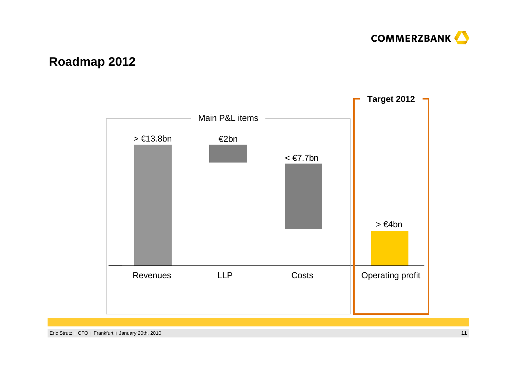

# **Roadmap 2012**

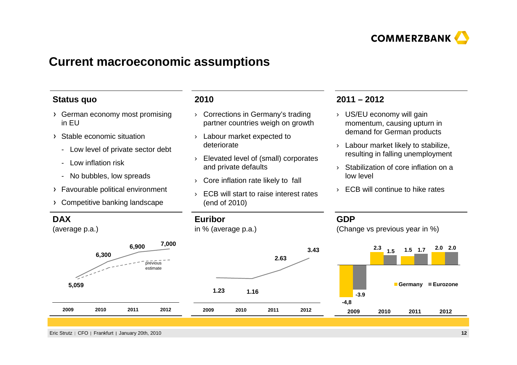

#### **Current macroeconomic assumptions**

#### **Status quo**

- German economy most promising in EU
- Stable economic situation
	- Low level of private sector debt
	- Low inflation risk
	- No bubbles, low spreads
- Favourable political environment
- Competitive banking landscape

#### **2010**

- › Corrections in Germany's trading partner countries weigh on growth
- › Labour market expected to deteriorate
- › Elevated level of (small) corporatesand private defaults
- › Core inflation rate likely to fall
- › ECB will start to raise interest rates (end of 2010)

#### **2011 – 2012**

- › US/EU economy will gain momentum, causing upturn in demand for German products
- › Labour market likely to stabilize, resulting in falling unemployment
- › Stabilization of core inflation on a low level
- › ECB will continue to hike rates

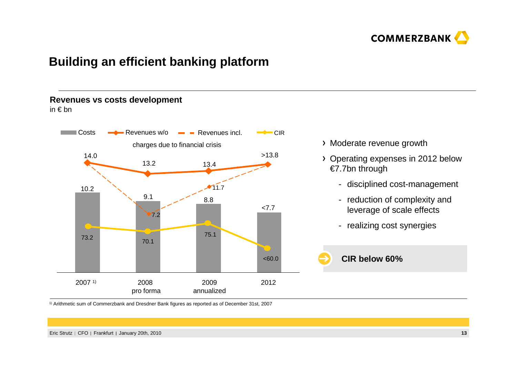

### **Building an efficient banking platform**

#### **Revenues vs costs development**

in € bn



- Moderate revenue growth
- Operating expenses in 2012 below €7.7bn through
	- disciplined cost-management
	- reduction of complexity and leverage of scale effects
	- realizing cost synergies



 $^\text{\tiny 1)}$  Arithmetic sum of Commerzbank and Dresdner Bank figures as reported as of December 31st, 2007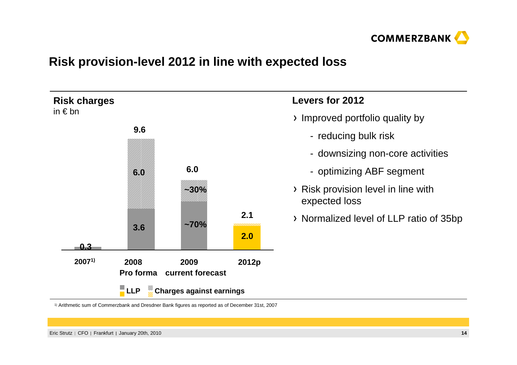

### **Risk provision-level 2012 in line with expected loss**



1) Arithmetic sum of Commerzbank and Dresdner Bank figures as reported as of December 31st, 2007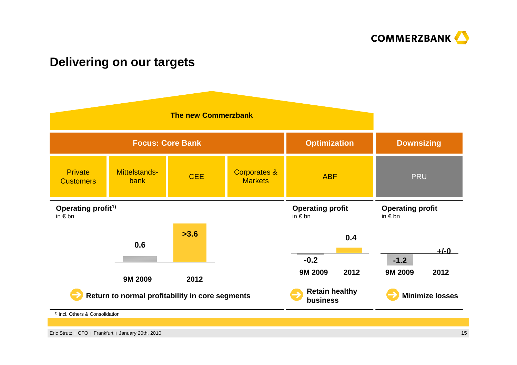

### **Delivering on our targets**

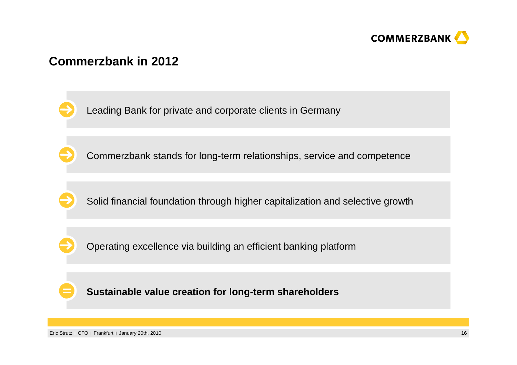

### **Commerzbank in 2012**

Leading Bank for private and corporate clients in Germany

Commerzbank stands for long-term relationships, service and competence

Solid financial foundation through higher capitalization and selective growth

Operating excellence via building an efficient banking platform

**Sustainable value creation for long-term shareholders**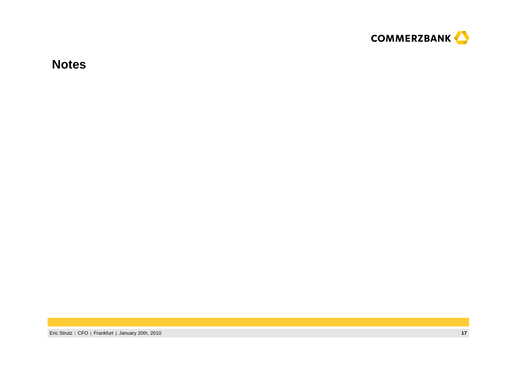

**Notes**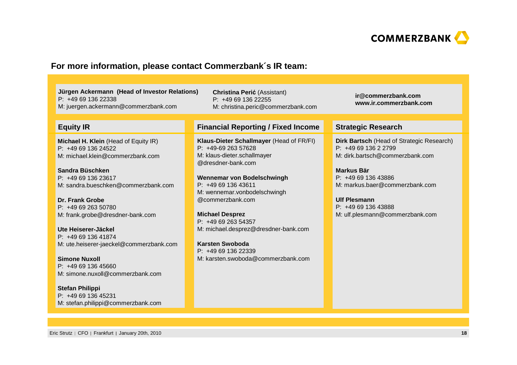

#### **For more information, please contact Commerzbank´s IR team:**

**Jürgen Ackermann (Head of Investor Relations)**P: +49 69 136 22338M: juergen.ackermann@commerzbank.com

M: christina.peric@commerzbank.com

#### **Equity IR**

**Michael H. Klein** (Head of Equity IR)P: +49 69 136 24522M: michael.klein@commerzbank.com

**Sandra Büschken** P: +49 69 136 23617M: sandra.bueschken@commerzbank.com

**Dr. Frank Grobe** P: +49 69 263 50780M: frank.grobe@dresdner-bank.com

**Ute Heiserer-Jäckel** P: +49 69 136 41874M: ute.heiserer-jaeckel@commerzbank.com

**Simone Nuxoll** P: +49 69 136 45660M: simone.nuxoll@commerzbank.com

**Stefan Philippi** P: +49 69 136 45231M: stefan.philippi@commerzbank.com **Financial Reporting / Fixed Income Strategic Research**

**Christina Peri**ć (Assistant) P: +49 69 136 22255

**Klaus-Dieter Schallmayer** (Head of FR/FI)P: +49-69 263 57628 M: klaus-dieter.schallmayer@dresdner-bank.com

**Wennemar von Bodelschwingh**P: +49 69 136 43611 M: wennemar.vonbodelschwingh@commerzbank.com

**Michael Desprez** P: +49 69 263 54357M: michael.desprez@dresdner-bank.com

**Karsten Swoboda** P: +49 69 136 22339M: karsten.swoboda@commerzbank.com **ir@commerzbank.comwww.ir.commerzbank.com**

**Dirk Bartsch** (Head of Strategic Research)P: +49 69 136 2 2799 M: dirk.bartsch@commerzbank.com

**Markus Bär** P: +49 69 136 43886 M: markus.baer@commerzbank.com

**Ulf Plesmann** P: +49 69 136 43888 M: ulf.plesmann@commerzbank.com